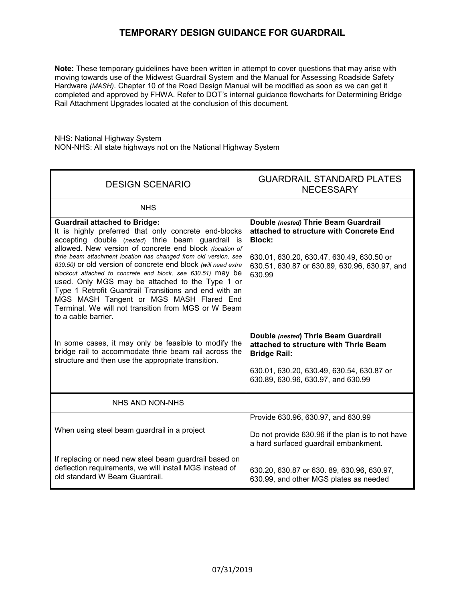## **TEMPORARY DESIGN GUIDANCE FOR GUARDRAIL**

**Note:** These temporary guidelines have been written in attempt to cover questions that may arise with moving towards use of the Midwest Guardrail System and the Manual for Assessing Roadside Safety Hardware *(MASH)*. Chapter 10 of the Road Design Manual will be modified as soon as we can get it completed and approved by FHWA. Refer to DOT's internal guidance flowcharts for Determining Bridge Rail Attachment Upgrades located at the conclusion of this document.

NHS: National Highway System NON-NHS: All state highways not on the National Highway System

| <b>DESIGN SCENARIO</b>                                                                                                                                                                                                                                                                                                                                                                                                                                                                                                                                                                                                                                | <b>GUARDRAIL STANDARD PLATES</b><br><b>NECESSARY</b>                                                                                                                                                     |
|-------------------------------------------------------------------------------------------------------------------------------------------------------------------------------------------------------------------------------------------------------------------------------------------------------------------------------------------------------------------------------------------------------------------------------------------------------------------------------------------------------------------------------------------------------------------------------------------------------------------------------------------------------|----------------------------------------------------------------------------------------------------------------------------------------------------------------------------------------------------------|
| <b>NHS</b>                                                                                                                                                                                                                                                                                                                                                                                                                                                                                                                                                                                                                                            |                                                                                                                                                                                                          |
| <b>Guardrail attached to Bridge:</b><br>It is highly preferred that only concrete end-blocks<br>accepting double (nested) thrie beam guardrail is<br>allowed. New version of concrete end block (location of<br>thrie beam attachment location has changed from old version, see<br>630.50) or old version of concrete end block (will need extra<br>blockout attached to concrete end block, see 630.51) may be<br>used. Only MGS may be attached to the Type 1 or<br>Type 1 Retrofit Guardrail Transitions and end with an<br>MGS MASH Tangent or MGS MASH Flared End<br>Terminal. We will not transition from MGS or W Beam<br>to a cable barrier. | Double (nested) Thrie Beam Guardrail<br>attached to structure with Concrete End<br><b>Block:</b><br>630.01, 630.20, 630.47, 630.49, 630.50 or<br>630.51, 630.87 or 630.89, 630.96, 630.97, and<br>630.99 |
| In some cases, it may only be feasible to modify the<br>bridge rail to accommodate thrie beam rail across the<br>structure and then use the appropriate transition.                                                                                                                                                                                                                                                                                                                                                                                                                                                                                   | Double (nested) Thrie Beam Guardrail<br>attached to structure with Thrie Beam<br><b>Bridge Rail:</b><br>630.01, 630.20, 630.49, 630.54, 630.87 or                                                        |
|                                                                                                                                                                                                                                                                                                                                                                                                                                                                                                                                                                                                                                                       | 630.89, 630.96, 630.97, and 630.99                                                                                                                                                                       |
| NHS AND NON-NHS                                                                                                                                                                                                                                                                                                                                                                                                                                                                                                                                                                                                                                       |                                                                                                                                                                                                          |
| When using steel beam guardrail in a project                                                                                                                                                                                                                                                                                                                                                                                                                                                                                                                                                                                                          | Provide 630.96, 630.97, and 630.99<br>Do not provide 630.96 if the plan is to not have<br>a hard surfaced guardrail embankment.                                                                          |
| If replacing or need new steel beam guardrail based on<br>deflection requirements, we will install MGS instead of<br>old standard W Beam Guardrail.                                                                                                                                                                                                                                                                                                                                                                                                                                                                                                   | 630.20, 630.87 or 630.89, 630.96, 630.97,<br>630.99, and other MGS plates as needed                                                                                                                      |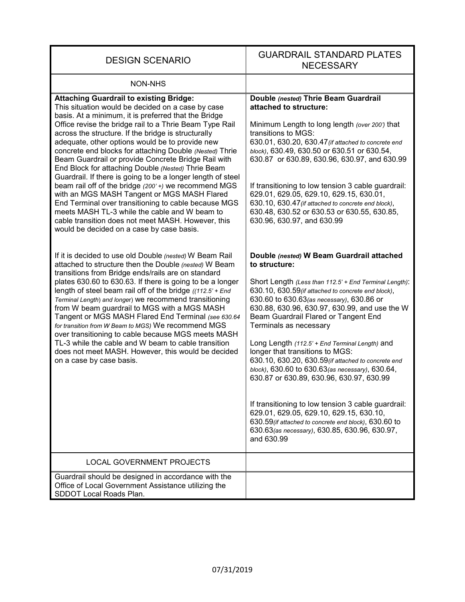| <b>DESIGN SCENARIO</b>                                                                                                                                                                                                                                                                                                                                                                                                                                                                                                                                                                                                                                                                                                                                                                                                                                                                      | <b>GUARDRAIL STANDARD PLATES</b><br><b>NECESSARY</b>                                                                                                                                                                                                                                                                                                                                                                                                                                                                                                                                                                                                                                                                                                                                                          |
|---------------------------------------------------------------------------------------------------------------------------------------------------------------------------------------------------------------------------------------------------------------------------------------------------------------------------------------------------------------------------------------------------------------------------------------------------------------------------------------------------------------------------------------------------------------------------------------------------------------------------------------------------------------------------------------------------------------------------------------------------------------------------------------------------------------------------------------------------------------------------------------------|---------------------------------------------------------------------------------------------------------------------------------------------------------------------------------------------------------------------------------------------------------------------------------------------------------------------------------------------------------------------------------------------------------------------------------------------------------------------------------------------------------------------------------------------------------------------------------------------------------------------------------------------------------------------------------------------------------------------------------------------------------------------------------------------------------------|
| <b>NON-NHS</b>                                                                                                                                                                                                                                                                                                                                                                                                                                                                                                                                                                                                                                                                                                                                                                                                                                                                              |                                                                                                                                                                                                                                                                                                                                                                                                                                                                                                                                                                                                                                                                                                                                                                                                               |
| <b>Attaching Guardrail to existing Bridge:</b><br>This situation would be decided on a case by case<br>basis. At a minimum, it is preferred that the Bridge<br>Office revise the bridge rail to a Thrie Beam Type Rail<br>across the structure. If the bridge is structurally<br>adequate, other options would be to provide new<br>concrete end blocks for attaching Double (Nested) Thrie<br>Beam Guardrail or provide Concrete Bridge Rail with<br>End Block for attaching Double (Nested) Thrie Beam<br>Guardrail. If there is going to be a longer length of steel<br>beam rail off of the bridge (200' +) we recommend MGS<br>with an MGS MASH Tangent or MGS MASH Flared<br>End Terminal over transitioning to cable because MGS<br>meets MASH TL-3 while the cable and W beam to<br>cable transition does not meet MASH. However, this<br>would be decided on a case by case basis. | Double (nested) Thrie Beam Guardrail<br>attached to structure:<br>Minimum Length to long length (over 200') that<br>transitions to MGS:<br>630.01, 630.20, 630.47 (if attached to concrete end<br>block), 630.49, 630.50 or 630.51 or 630.54,<br>630.87 or 630.89, 630.96, 630.97, and 630.99<br>If transitioning to low tension 3 cable guardrail:<br>629.01, 629.05, 629.10, 629.15, 630.01,<br>630.10, 630.47 (if attached to concrete end block),<br>630.48, 630.52 or 630.53 or 630.55, 630.85,<br>630.96, 630.97, and 630.99                                                                                                                                                                                                                                                                            |
| If it is decided to use old Double (nested) W Beam Rail<br>attached to structure then the Double (nested) W Beam<br>transitions from Bridge ends/rails are on standard<br>plates 630.60 to 630.63. If there is going to be a longer<br>length of steel beam rail off of the bridge $(112.5' + End)$<br>Terminal Length) and longer) we recommend transitioning<br>from W beam guardrail to MGS with a MGS MASH<br>Tangent or MGS MASH Flared End Terminal (see 630.64<br>for transition from W Beam to MGS) We recommend MGS<br>over transitioning to cable because MGS meets MASH<br>TL-3 while the cable and W beam to cable transition<br>does not meet MASH. However, this would be decided<br>on a case by case basis.                                                                                                                                                                 | Double (nested) W Beam Guardrail attached<br>to structure:<br>Short Length (Less than 112.5' + End Terminal Length):<br>630.10, 630.59(if attached to concrete end block),<br>630.60 to 630.63(as necessary), 630.86 or<br>630.88, 630.96, 630.97, 630.99, and use the W<br>Beam Guardrail Flared or Tangent End<br>Terminals as necessary<br>Long Length (112.5' + End Terminal Length) and<br>longer that transitions to MGS:<br>630.10, 630.20, 630.59(if attached to concrete end<br>block), 630.60 to 630.63(as necessary), 630.64,<br>630.87 or 630.89, 630.96, 630.97, 630.99<br>If transitioning to low tension 3 cable guardrail:<br>629.01, 629.05, 629.10, 629.15, 630.10,<br>630.59 (if attached to concrete end block), 630.60 to<br>630.63(as necessary), 630.85, 630.96, 630.97,<br>and 630.99 |
| <b>LOCAL GOVERNMENT PROJECTS</b>                                                                                                                                                                                                                                                                                                                                                                                                                                                                                                                                                                                                                                                                                                                                                                                                                                                            |                                                                                                                                                                                                                                                                                                                                                                                                                                                                                                                                                                                                                                                                                                                                                                                                               |
| Guardrail should be designed in accordance with the<br>Office of Local Government Assistance utilizing the<br>SDDOT Local Roads Plan.                                                                                                                                                                                                                                                                                                                                                                                                                                                                                                                                                                                                                                                                                                                                                       |                                                                                                                                                                                                                                                                                                                                                                                                                                                                                                                                                                                                                                                                                                                                                                                                               |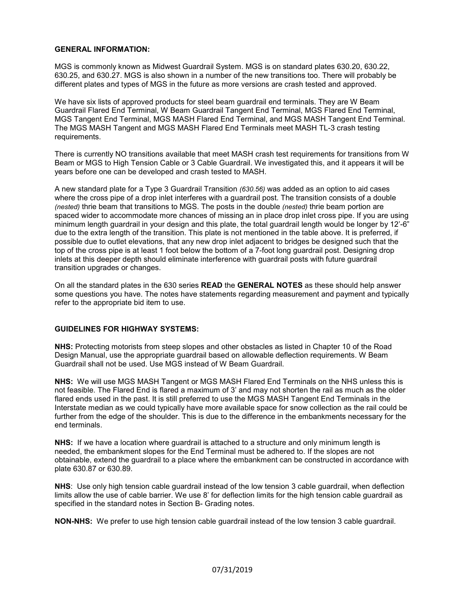#### **GENERAL INFORMATION:**

MGS is commonly known as Midwest Guardrail System. MGS is on standard plates 630.20, 630.22, 630.25, and 630.27. MGS is also shown in a number of the new transitions too. There will probably be different plates and types of MGS in the future as more versions are crash tested and approved.

We have six lists of approved products for steel beam guardrail end terminals. They are W Beam Guardrail Flared End Terminal, W Beam Guardrail Tangent End Terminal, MGS Flared End Terminal, MGS Tangent End Terminal, MGS MASH Flared End Terminal, and MGS MASH Tangent End Terminal. The MGS MASH Tangent and MGS MASH Flared End Terminals meet MASH TL-3 crash testing requirements.

There is currently NO transitions available that meet MASH crash test requirements for transitions from W Beam or MGS to High Tension Cable or 3 Cable Guardrail. We investigated this, and it appears it will be years before one can be developed and crash tested to MASH.

A new standard plate for a Type 3 Guardrail Transition *(630.56)* was added as an option to aid cases where the cross pipe of a drop inlet interferes with a guardrail post. The transition consists of a double *(nested)* thrie beam that transitions to MGS. The posts in the double *(nested)* thrie beam portion are spaced wider to accommodate more chances of missing an in place drop inlet cross pipe. If you are using minimum length guardrail in your design and this plate, the total guardrail length would be longer by 12'-6" due to the extra length of the transition. This plate is not mentioned in the table above. It is preferred, if possible due to outlet elevations, that any new drop inlet adjacent to bridges be designed such that the top of the cross pipe is at least 1 foot below the bottom of a 7-foot long guardrail post. Designing drop inlets at this deeper depth should eliminate interference with guardrail posts with future guardrail transition upgrades or changes.

On all the standard plates in the 630 series **READ** the **GENERAL NOTES** as these should help answer some questions you have. The notes have statements regarding measurement and payment and typically refer to the appropriate bid item to use.

#### **GUIDELINES FOR HIGHWAY SYSTEMS:**

**NHS:** Protecting motorists from steep slopes and other obstacles as listed in Chapter 10 of the Road Design Manual, use the appropriate guardrail based on allowable deflection requirements. W Beam Guardrail shall not be used. Use MGS instead of W Beam Guardrail.

**NHS:** We will use MGS MASH Tangent or MGS MASH Flared End Terminals on the NHS unless this is not feasible. The Flared End is flared a maximum of 3' and may not shorten the rail as much as the older flared ends used in the past. It is still preferred to use the MGS MASH Tangent End Terminals in the Interstate median as we could typically have more available space for snow collection as the rail could be further from the edge of the shoulder. This is due to the difference in the embankments necessary for the end terminals.

**NHS:** If we have a location where guardrail is attached to a structure and only minimum length is needed, the embankment slopes for the End Terminal must be adhered to. If the slopes are not obtainable, extend the guardrail to a place where the embankment can be constructed in accordance with plate 630.87 or 630.89.

**NHS**: Use only high tension cable guardrail instead of the low tension 3 cable guardrail, when deflection limits allow the use of cable barrier. We use 8' for deflection limits for the high tension cable guardrail as specified in the standard notes in Section B- Grading notes.

**NON-NHS:** We prefer to use high tension cable guardrail instead of the low tension 3 cable guardrail.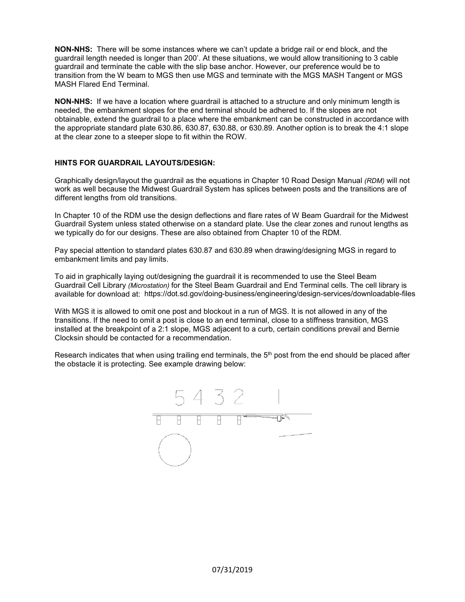**NON-NHS:** There will be some instances where we can't update a bridge rail or end block, and the guardrail length needed is longer than 200'. At these situations, we would allow transitioning to 3 cable guardrail and terminate the cable with the slip base anchor. However, our preference would be to transition from the W beam to MGS then use MGS and terminate with the MGS MASH Tangent or MGS MASH Flared End Terminal.

**NON-NHS:** If we have a location where guardrail is attached to a structure and only minimum length is needed, the embankment slopes for the end terminal should be adhered to. If the slopes are not obtainable, extend the guardrail to a place where the embankment can be constructed in accordance with the appropriate standard plate 630.86, 630.87, 630.88, or 630.89. Another option is to break the 4:1 slope at the clear zone to a steeper slope to fit within the ROW.

#### **HINTS FOR GUARDRAIL LAYOUTS/DESIGN:**

Graphically design/layout the guardrail as the equations in Chapter 10 Road Design Manual *(RDM)* will not work as well because the Midwest Guardrail System has splices between posts and the transitions are of different lengths from old transitions.

In Chapter 10 of the RDM use the design deflections and flare rates of W Beam Guardrail for the Midwest Guardrail System unless stated otherwise on a standard plate. Use the clear zones and runout lengths as we typically do for our designs. These are also obtained from Chapter 10 of the RDM.

Pay special attention to standard plates 630.87 and 630.89 when drawing/designing MGS in regard to embankment limits and pay limits.

To aid in graphically laying out/designing the guardrail it is recommended to use the Steel Beam Guardrail Cell Library *(Microstation)* for the Steel Beam Guardrail and End Terminal cells. The cell library is available for download at: <https://dot.sd.gov/doing-business/engineering/design-services/downloadable-files>

With MGS it is allowed to omit one post and blockout in a run of MGS. It is not allowed in any of the transitions. If the need to omit a post is close to an end terminal, close to a stiffness transition, MGS installed at the breakpoint of a 2:1 slope, MGS adjacent to a curb, certain conditions prevail and Bernie Clocksin should be contacted for a recommendation.

Research indicates that when using trailing end terminals, the 5<sup>th</sup> post from the end should be placed after the obstacle it is protecting. See example drawing below:

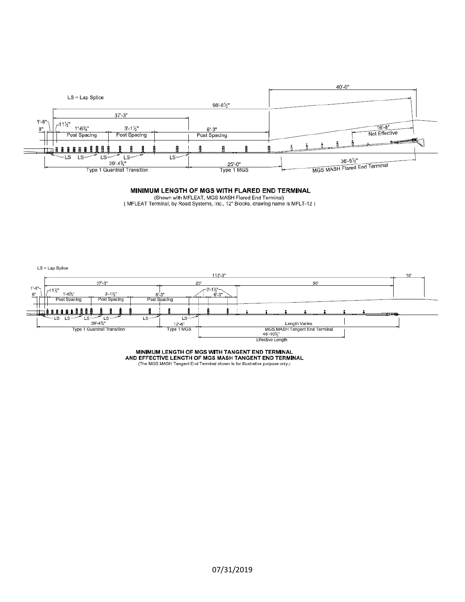

#### MINIMUM LENGTH OF MGS WITH FLARED END TERMINAL

(Shown with MFLEAT, MGS MASH Flared End Terminal)<br>(MFLEAT Terminal, by Road Systems, Inc., 12" Blocks, drawing name is MFLT-12)

LS = Lap Splice



MINIMUM LENGTH OF MGS WITH TANGENT END TERMINAL<br>AND EFFECTIVE LENGTH OF MGS MASH TANGENT END TERMINAL<br>(The MGS MASH Tangent End Terminal shown is for illustrative purpose only.)

07/31/2019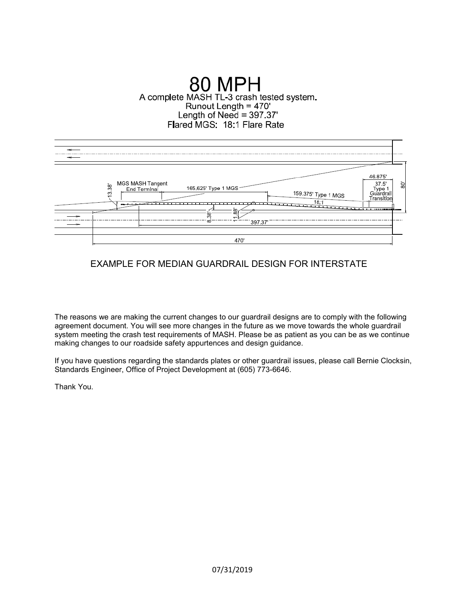# **80 MPH** A complete MASH TL-3 crash tested system. Runout Length = 470'<br>
Length of Need = 397.37' Flared MGS: 18:1 Flare Rate



## EXAMPLE FOR MEDIAN GUARDRAIL DESIGN FOR INTERSTATE

The reasons we are making the current changes to our guardrail designs are to comply with the following agreement document. You will see more changes in the future as we move towards the whole guardrail system meeting the crash test requirements of MASH. Please be as patient as you can be as we continue making changes to our roadside safety appurtences and design guidance.

If you have questions regarding the standards plates or other guardrail issues, please call Bernie Clocksin, Standards Engineer, Office of Project Development at (605) 773-6646.

Thank You.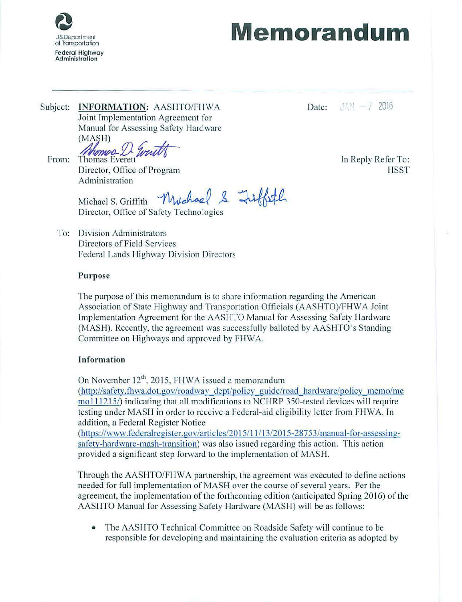

# US. Department **Memorandum**

Subject: **INFORMATION:** AASHTO/FHWA Date:  $JAM - 7$  2016 Joint Implementation Agreement for Manual for Assessing Safety Hardware

(MASH)<br>From: *Ahomod D. Great* Thomas Everett<br>Director. Office of Program HSST

Director, Office of Program **Administration** 

Michael S . Griffith Friffith

Director, Office of Safety Technologies

To: Division Administrators Directors of Field Services Federal Lands Highway Division Directors

## Purpose

The purpose of this memorandum is to share information regarding the American Association of State Highway and Transportation Officials (AASHTO)/FHWA Joint Implementation Agreement for the AASHTO Manual for Assessing Safety Hardware (MASH). Recently, the agreement was successfully balloted by AASHTO's Standing Committee on Highways and approved by FHWA.

## Information

On November  $12^{\text{th}}$ , 2015, FHWA issued a memorandum

(http://safety.fhwa.dot.gov/roadway dept/policv guide/road hardware/policy memo/me mo 111215/) indicating that all modifications to NCHRP 350-tested devices will require testing under MASH in order to receive a Federal-aid eligibility letter from FHWA. In addition, a Federal Register Notice

(https://www.federalregister.gov/articles/2015/11/13/2015-28753/manual-for-assessingsafety-hardware-mash-transition) was also issued regarding this action. This action provided a significant step forward to the implementation of MASH.

Through the AASHTO/FHWA partnership, the agreement was executed to define actions needed for full implementation of MASH over the course of several years. Per the agreement, the implementation of the forthcoming edition (anticipated Spring 2016) of the AASHTO Manual for Assessing Safety Hardware (MASH) will be as follows:

• The AASHTO Technical Committee on Roadside Safety will continue to be responsible for developing and maintaining the evaluation criteria as adopted by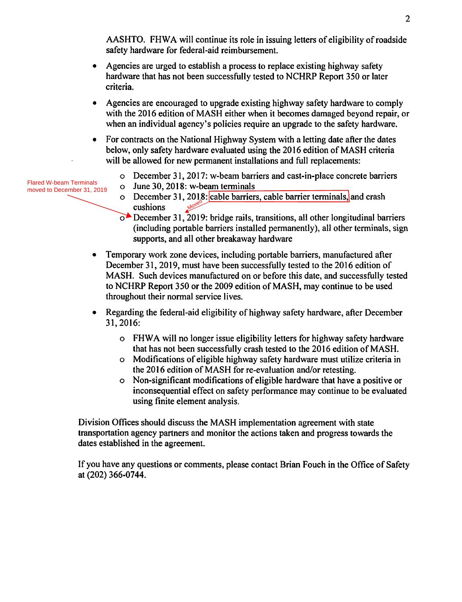AASHTO. FHWA will continue its role in issuing letters of eligibility of roadside safety hardware for federal-aid reimbursement.

- Agencies are urged to establish a process to replace existing highway safety hardware that has not been successfully tested to NCHRP Report 350 or later criteria.
- Agencies are encouraged to upgrade existing highway safety hardware to comply with the 2016 edition of MASH either when it becomes damaged beyond repair, or when an individual agency's policies require an upgrade to the safety hardware.
- For contracts on the National Highway System with a letting date after the dates below, only safety hardware evaluated using the 2016 edition of MASH criteria will be allowed for new permanent installations and full replacements:
	- o December 31, 2017: w-beam barriers and cast-in-place concrete barriers
	- $\circ$  June 30, 2018: w-beam terminals
	- o December 31, 2018: cable barriers, cable barrier terminals, and crash cushions **Moved**
	- $\circ$  December 31, 2019: bridge rails, transitions, all other longitudinal barriers (including portable barriers installed permanently), all other terminals, sign supports, and all other breakaway hardware
- Temporary work zone devices, including portable barriers, manufactured after December 31, 2019, must have been successfully tested to the 2016 edition of MASH. Such devices manufactured on or before this date, and successfully tested to NCHRP Report 350 or the 2009 edition of MASH, may continue to be used throughout their normal service lives.
- Regarding the federal-aid eligibility of highway safety hardware, after December 31, 2016:
	- o FHWA will no longer issue eligibility letters for highway safety hardware that has not been successfully crash tested to the 2016 edition of MASH.
	- o Modifications of eligible highway safety hardware must utilize criteria in the 2016 edition of MASH for re-evaluation and/or retesting.
	- o Non-significant modifications of eligible hardware that have a positive or inconsequential effect on safety performance may continue to be evaluated using finite element analysis.

Division Offices should discuss the MASH implementation agreement with state transportation agency partners and monitor the actions taken and progress towards the dates established in the agreement.

If you have any questions or comments, please contact Brian Fouch in the Office of Safety at (202) 366-0744.

 $\overline{2}$ 

Flared W-beam Terminals moved to December 31, 2019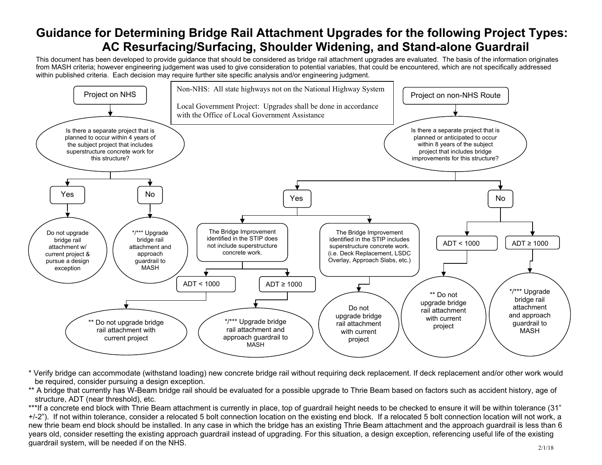# **Guidance for Determining Bridge Rail Attachment Upgrades for the following Project Types: AC Resurfacing/Surfacing, Shoulder Widening, and Stand-alone Guardrail**

 within published criteria. Each decision may require further site specific analysis and/or engineering judgment. This document has been developed to provide guidance that should be considered as bridge rail attachment upgrades are evaluated. The basis of the information originates from MASH criteria; however engineering judgement was used to give consideration to potential variables, that could be encountered, which are not specifically addressed



\* Verify bridge can accommodate (withstand loading) new concrete bridge rail without requiring deck replacement. If deck replacement and/or other work would be required, consider pursuing a design exception.

\*\* A bridge that currently has W-Beam bridge rail should be evaluated for a possible upgrade to Thrie Beam based on factors such as accident history, age of structure, ADT (near threshold), etc.

\*\*\*If a concrete end block with Thrie Beam attachment is currently in place, top of guardrail height needs to be checked to ensure it will be within tolerance (31" +/-2"). If not within tolerance, consider a relocated 5 bolt connection location on the existing end block. If a relocated 5 bolt connection location will not work, a new thrie beam end block should be installed. In any case in which the bridge has an existing Thrie Beam attachment and the approach guardrail is less than 6 years old, consider resetting the existing approach guardrail instead of upgrading. For this situation, a design exception, referencing useful life of the existing guardrail system, will be needed if on the NHS.